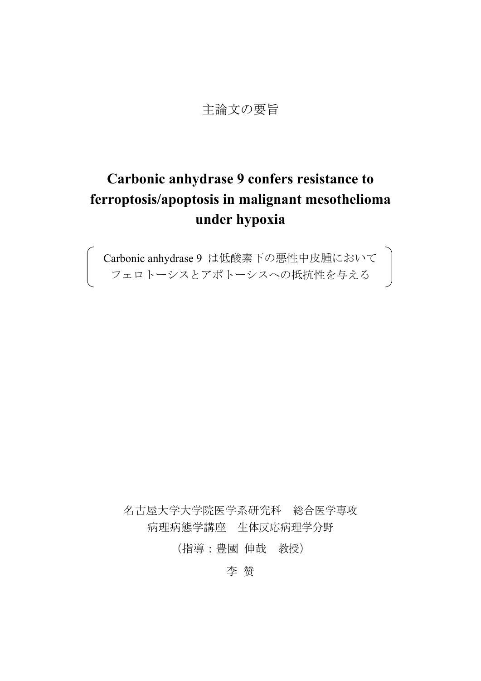## 主論文の要旨

# **Carbonic anhydrase 9 confers resistance to ferroptosis/apoptosis in malignant mesothelioma under hypoxia**

Carbonic anhydrase 9 は低酸素下の悪性中皮腫において フェロトーシスとアポトーシスへの抵抗性を与える

名古屋大学大学院医学系研究科 総合医学専攻 病理病態学講座 生体反応病理学分野

(指導:豊國 伸哉 教授)

李 赞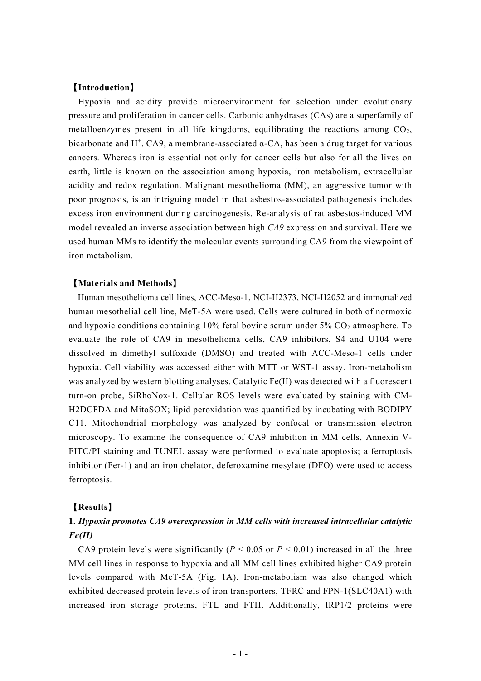### 【**Introduction**】

Hypoxia and acidity provide microenvironment for selection under evolutionary pressure and proliferation in cancer cells. Carbonic anhydrases (CAs) are a superfamily of metalloenzymes present in all life kingdoms, equilibrating the reactions among  $CO<sub>2</sub>$ , bicarbonate and H<sup>+</sup>. CA9, a membrane-associated  $\alpha$ -CA, has been a drug target for various cancers. Whereas iron is essential not only for cancer cells but also for all the lives on earth, little is known on the association among hypoxia, iron metabolism, extracellular acidity and redox regulation. Malignant mesothelioma (MM), an aggressive tumor with poor prognosis, is an intriguing model in that asbestos-associated pathogenesis includes excess iron environment during carcinogenesis. Re-analysis of rat asbestos-induced MM model revealed an inverse association between high *CA9* expression and survival. Here we used human MMs to identify the molecular events surrounding CA9 from the viewpoint of iron metabolism.

#### 【**Materials and Methods**】

Human mesothelioma cell lines, ACC-Meso-1, NCI-H2373, NCI-H2052 and immortalized human mesothelial cell line, MeT-5A were used. Cells were cultured in both of normoxic and hypoxic conditions containing  $10\%$  fetal bovine serum under  $5\%$  CO<sub>2</sub> atmosphere. To evaluate the role of CA9 in mesothelioma cells, CA9 inhibitors, S4 and U104 were dissolved in dimethyl sulfoxide (DMSO) and treated with ACC-Meso-1 cells under hypoxia. Cell viability was accessed either with MTT or WST-1 assay. Iron-metabolism was analyzed by western blotting analyses. Catalytic Fe(II) was detected with a fluorescent turn-on probe, SiRhoNox-1. Cellular ROS levels were evaluated by staining with CM-H2DCFDA and MitoSOX; lipid peroxidation was quantified by incubating with BODIPY C11. Mitochondrial morphology was analyzed by confocal or transmission electron microscopy. To examine the consequence of CA9 inhibition in MM cells, Annexin V-FITC/PI staining and TUNEL assay were performed to evaluate apoptosis; a ferroptosis inhibitor (Fer-1) and an iron chelator, deferoxamine mesylate (DFO) were used to access ferroptosis.

#### 【**Results**】

## **1.** *Hypoxia promotes CA9 overexpression in MM cells with increased intracellular catalytic Fe(II)*

CA9 protein levels were significantly ( $P < 0.05$  or  $P < 0.01$ ) increased in all the three MM cell lines in response to hypoxia and all MM cell lines exhibited higher CA9 protein levels compared with MeT-5A (Fig. 1A). Iron-metabolism was also changed which exhibited decreased protein levels of iron transporters, TFRC and FPN-1(SLC40A1) with increased iron storage proteins, FTL and FTH. Additionally, IRP1/2 proteins were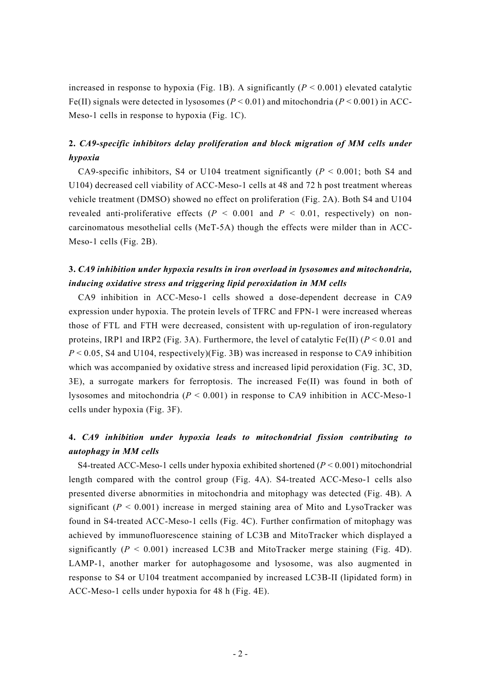increased in response to hypoxia (Fig. 1B). A significantly  $(P < 0.001)$  elevated catalytic Fe(II) signals were detected in lysosomes ( $P < 0.01$ ) and mitochondria ( $P < 0.001$ ) in ACC-Meso-1 cells in response to hypoxia (Fig. 1C).

## **2.** *CA9-specific inhibitors delay proliferation and block migration of MM cells under hypoxia*

CA9-specific inhibitors, S4 or U104 treatment significantly (*P* < 0.001; both S4 and U104) decreased cell viability of ACC-Meso-1 cells at 48 and 72 h post treatment whereas vehicle treatment (DMSO) showed no effect on proliferation (Fig. 2A). Both S4 and U104 revealed anti-proliferative effects  $(P < 0.001$  and  $P < 0.01$ , respectively) on noncarcinomatous mesothelial cells (MeT-5A) though the effects were milder than in ACC-Meso-1 cells (Fig. 2B).

## **3.** *CA9 inhibition under hypoxia results in iron overload in lysosomes and mitochondria, inducing oxidative stress and triggering lipid peroxidation in MM cells*

CA9 inhibition in ACC-Meso-1 cells showed a dose-dependent decrease in CA9 expression under hypoxia. The protein levels of TFRC and FPN-1 were increased whereas those of FTL and FTH were decreased, consistent with up-regulation of iron-regulatory proteins, IRP1 and IRP2 (Fig. 3A). Furthermore, the level of catalytic Fe(II) ( $P < 0.01$  and  $P < 0.05$ , S4 and U104, respectively)(Fig. 3B) was increased in response to CA9 inhibition which was accompanied by oxidative stress and increased lipid peroxidation (Fig. 3C, 3D, 3E), a surrogate markers for ferroptosis. The increased Fe(II) was found in both of lysosomes and mitochondria (*P* < 0.001) in response to CA9 inhibition in ACC-Meso-1 cells under hypoxia (Fig. 3F).

## **4.** *CA9 inhibition under hypoxia leads to mitochondrial fission contributing to autophagy in MM cells*

S4-treated ACC-Meso-1 cells under hypoxia exhibited shortened (*P* < 0.001) mitochondrial length compared with the control group (Fig. 4A). S4-treated ACC-Meso-1 cells also presented diverse abnormities in mitochondria and mitophagy was detected (Fig. 4B). A significant  $(P < 0.001)$  increase in merged staining area of Mito and LysoTracker was found in S4-treated ACC-Meso-1 cells (Fig. 4C). Further confirmation of mitophagy was achieved by immunofluorescence staining of LC3B and MitoTracker which displayed a significantly  $(P < 0.001)$  increased LC3B and MitoTracker merge staining (Fig. 4D). LAMP-1, another marker for autophagosome and lysosome, was also augmented in response to S4 or U104 treatment accompanied by increased LC3B-II (lipidated form) in ACC-Meso-1 cells under hypoxia for 48 h (Fig. 4E).